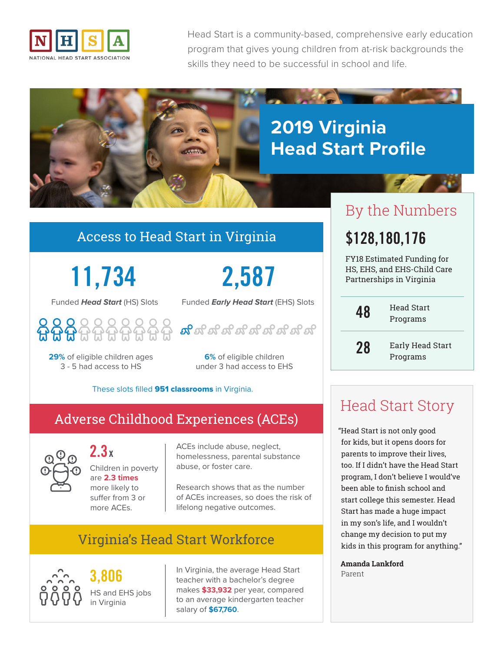

Head Start is a community-based, comprehensive early education program that gives young children from at-risk backgrounds the skills they need to be successful in school and life.



#### Access to Head Start in Virginia

**11,734**

Funded *Head Start* (HS) Slots



**29%** of eligible children ages 3 - 5 had access to HS

**2,587**

Funded *Early Head Start* (EHS) Slots

ಹಿದ್ದಾಳಿ ಇಲ್ಲಿ ಇಲ್ಲಿ ಇಲ್ಲಿ

**6%** of eligible children **Programs** under 3 had access to EHS

#### These slots filled 951 classrooms in Virginia.

### Adverse Childhood Experiences (ACEs)



**2.3x** Children in poverty are **2.3 times** more likely to suffer from 3 or more ACEs.

ACEs include abuse, neglect, homelessness, parental substance abuse, or foster care.

Research shows that as the number of ACEs increases, so does the risk of lifelong negative outcomes.

## Virginia's Head Start Workforce



**3,806** HS and EHS jobs in Virginia

In Virginia, the average Head Start teacher with a bachelor's degree makes **\$33,932** per year, compared to an average kindergarten teacher salary of **\$67,760**.

# By the Numbers

# **\$128,180,176**

FY18 Estimated Funding for HS, EHS, and EHS-Child Care Partnerships in Virginia

**48**

**28**

Head Start Programs

Early Head Start

# Head Start Story

"Head Start is not only good for kids, but it opens doors for parents to improve their lives, too. If I didn't have the Head Start program, I don't believe I would've been able to finish school and start college this semester. Head Start has made a huge impact in my son's life, and I wouldn't change my decision to put my kids in this program for anything."

**Amanda Lankford** Parent